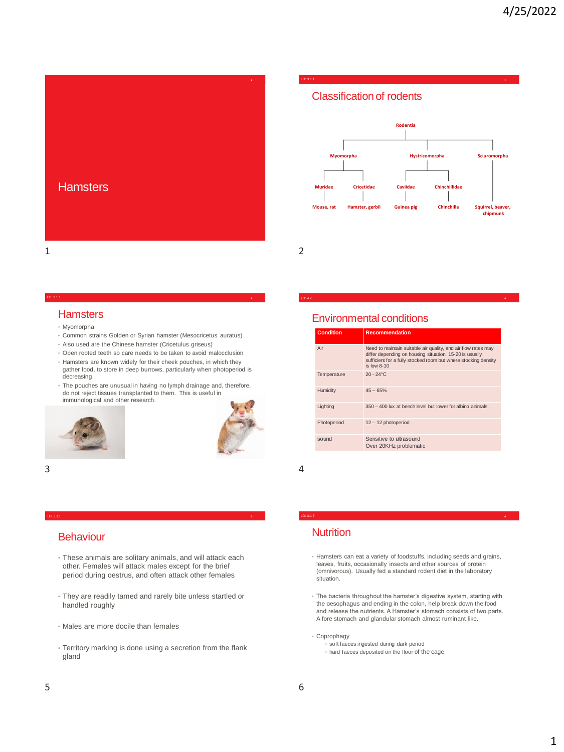





LO: 3.1.1 **<sup>2</sup>**

LO: 4.2

### **Hamsters**

- Myomorpha
- Common strains Golden or Syrian hamster (Mesocricetus auratus)

LO: 3.1.1 **<sup>3</sup>**

- Also used are the Chinese hamster (Cricetulus griseus)
- Open rooted teeth so care needs to be taken to avoid malocclusion
- Hamsters are known widely for their cheek pouches, in which they gather food, to store in deep burrows, particularly when photoperiod is decreasing.
- The pouches are unusual in having no lymph drainage and, therefore, do not reject tissues transplanted to them. This is useful in immunological and other research.





 $3 \overline{4}$ 

### LO: 3.1.1 **5**

### **Behaviour**

- These animals are solitary animals, and will attack each other. Females will attack males except for the brief period during oestrus, and often attack other females
- They are readily tamed and rarely bite unless startled or handled roughly
- Males are more docile than females
- Territory marking is done using a secretion from the flank gland

# Environmental conditions

| <b>Condition</b> | <b>Recommendation</b>                                                                                                                                                                                         |
|------------------|---------------------------------------------------------------------------------------------------------------------------------------------------------------------------------------------------------------|
| Air              | Need to maintain suitable air quality, and air flow rates may<br>differ depending on housing situation. 15-20 is usually<br>sufficient for a fully stocked room but where stocking density<br>$is$ low $8-10$ |
| Temperature      | $20 - 24$ °C                                                                                                                                                                                                  |
| Humidity         | $45 - 65%$                                                                                                                                                                                                    |
| Lighting         | 350 - 400 lux at bench level but lower for albino animals.                                                                                                                                                    |
| Photoperiod      | 12 - 12 photoperiod                                                                                                                                                                                           |
| sound            | Sensitive to ultrasound<br>Over 20KHz problematic                                                                                                                                                             |
|                  |                                                                                                                                                                                                               |

### **Nutrition**

• Hamsters can eat a variety of foodstuffs, including seeds and grains, leaves, fruits, occasionally insects and other sources of protein (omnivorous). Usually fed a standard rodent diet in the laboratory situation.

LO: 3.1.5 **<sup>6</sup>**

- The bacteria throughout the hamster's digestive system, starting with the oesophagus and ending in the colon, help break down the food and release the nutrients. A Hamster's stomach consists of two parts. A fore stomach and glandular stomach almost ruminant like.
- Coprophagy
	- soft faeces ingested during dark period
	- hard faeces deposited on the floor of the cage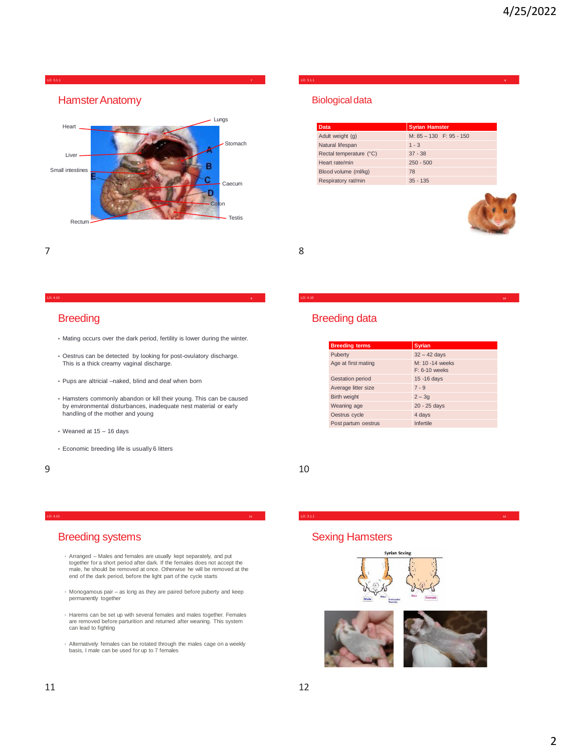

### LO: 3.1.1 **8**

### Biological data

| Data                    | <b>Syrian Hamster</b>   |
|-------------------------|-------------------------|
| Adult weight (g)        | M: 85 - 130 F: 95 - 150 |
| Natural lifespan        | $1 - 3$                 |
| Rectal temperature (°C) | $37 - 38$               |
| Heart rate/min          | $250 - 500$             |
| Blood volume (ml/kg)    | 78                      |
| Respiratory rat/min     | $35 - 135$              |



7 8

### LO: 4.10 **9**

### **Breeding**

- Mating occurs over the dark period, fertility is lower during the winter.
- Oestrus can be detected by looking for post-ovulatory discharge. This is a thick creamy vaginal discharge.
- Pups are altricial –naked, blind and deaf when born
- Hamsters commonly abandon or kill their young. This can be caused by environmental disturbances, inadequate nest material or early handling of the mother and young
- Weaned at 15 16 days
- Economic breeding life is usually 6 litters

# Breeding data

| <b>Breeding terms</b>   | <b>Syrian</b>                      |  |  |  |
|-------------------------|------------------------------------|--|--|--|
| Puberty                 | $32 - 42$ days                     |  |  |  |
| Age at first mating     | M: 10 -14 weeks<br>$F: 6-10$ weeks |  |  |  |
| <b>Gestation period</b> | 15 - 16 days                       |  |  |  |
| Average litter size     | $7 - 9$                            |  |  |  |
| <b>Birth weight</b>     | $2 - 3q$                           |  |  |  |
| Weaning age             | 20 - 25 days                       |  |  |  |
| Oestrus cycle           | 4 days                             |  |  |  |
| Post partum oestrus     | Infertile                          |  |  |  |

LO: 4.10 **10**

 $9 \hspace{2.5cm} 10$ 

### Breeding systems

• Arranged – Males and females are usually kept separately, and put together for a short period after dark. If the females does not accept the male, he should be removed at once. Otherwise he will be removed at the end of the dark period, before the light part of the cycle starts

LO: 4.10 **11**

- Monogamous pair as long as they are paired before puberty and keep permanently together
- Harems can be set up with several females and males together. Females are removed before parturition and returned after weaning. This system can lead to fighting
- Alternatively females can be rotated through the males cage on a weekly basis, I male can be used for up to 7 females

# Sexing Hamsters



LO: 3.1.1 **12**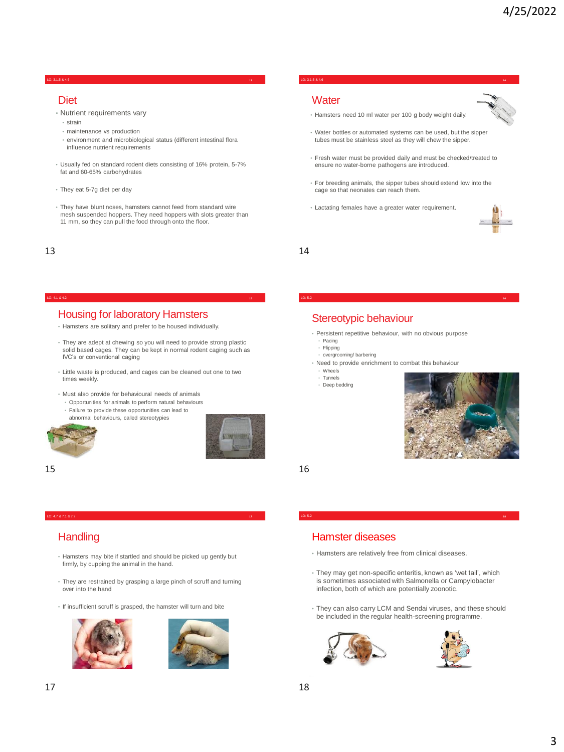### LO: 3.1.5 & 4.6 **13**

### **Diet**

- Nutrient requirements vary
	- strain
	- maintenance vs production
- environment and microbiological status (different intestinal flora influence nutrient requirements
- Usually fed on standard rodent diets consisting of 16% protein, 5-7% fat and 60-65% carbohydrates
- They eat 5-7g diet per day
- They have blunt noses, hamsters cannot feed from standard wire mesh suspended hoppers. They need hoppers with slots greater than 11 mm, so they can pull the food through onto the floor.

# Housing for laboratory Hamsters

- Hamsters are solitary and prefer to be housed individually.
- They are adept at chewing so you will need to provide strong plastic solid based cages. They can be kept in normal rodent caging such as IVC's or conventional caging
- Little waste is produced, and cages can be cleaned out one to two times weekly.
- Must also provide for behavioural needs of animals
	- Opportunities for animals to perform natural behaviours
	- Failure to provide these opportunities can lead to abnormal behaviours, called stereotypies





 $15$  16

# **Handling**

- Hamsters may bite if startled and should be picked up gently but firmly, by cupping the animal in the hand.
- They are restrained by grasping a large pinch of scruff and turning over into the hand
- If insufficient scruff is grasped, the hamster will turn and bite





### LO: 3.1.5 & 4.6 **14**

### **Water**

- Hamsters need 10 ml water per 100 g body weight daily.
- Water bottles or automated systems can be used, but the sipper tubes must be stainless steel as they will chew the sipper.
- Fresh water must be provided daily and must be checked/treated to ensure no water-borne pathogens are introduced.
- For breeding animals, the sipper tubes should extend low into the cage so that neonates can reach them.
- Lactating females have a greater water requirement.



 $13$  and  $14$ 

# Stereotypic behaviour

• Persistent repetitive behaviour, with no obvious purpose Pacing

LO: 5.2 **<sup>16</sup>**

- Flipping
- overgrooming/ barbering
- Need to provide enrichment to combat this behaviour
	- Wheels
- Tunnels
- Deep bedding



# Hamster diseases

- Hamsters are relatively free from clinical diseases.
- They may get non-specific enteritis, known as 'wet tail', which is sometimes associated with Salmonella or Campylobacter infection, both of which are potentially zoonotic.

LO: 5.2 **18**

• They can also carry LCM and Sendai viruses, and these should be included in the regular health-screening programme.



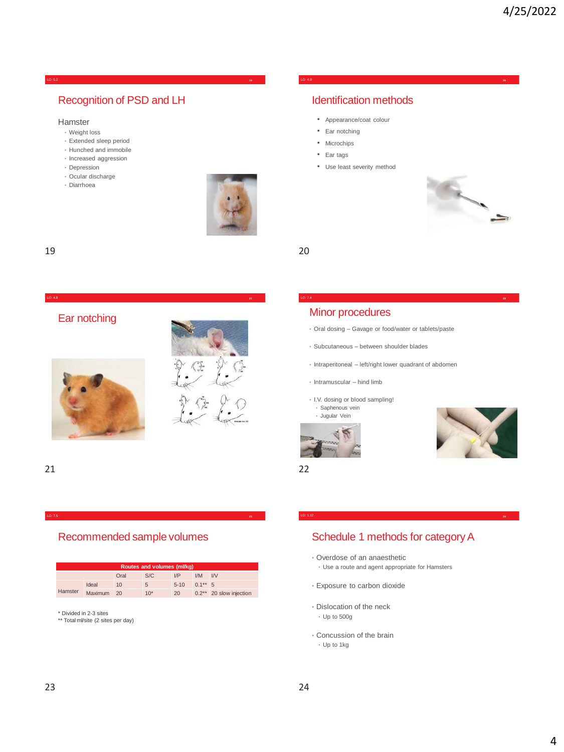### LO: 5.2 **19**

# Recognition of PSD and LH

### Hamster

- Weight loss
- Extended sleep period
- Hunched and immobile
- Increased aggression
- Depression
- Ocular discharge
- Diarrhoea



LO: 4.8 **21**

Ear notching





LO: 7.5

# Recommended sample volumes

| Routes and volumes (ml/kg) |            |      |       |        |            |                         |  |  |  |  |
|----------------------------|------------|------|-------|--------|------------|-------------------------|--|--|--|--|
|                            |            | Oral | S/C   | I/P    | IM         | IV                      |  |  |  |  |
| Hamster                    | Ideal      | 10   | 5     | $5-10$ | $0.1***$ 5 |                         |  |  |  |  |
|                            | Maximum 20 |      | $10*$ | 20     |            | 0.2** 20 slow injection |  |  |  |  |

\* Divided in 2-3 sites \*\* Total ml/site (2 sites per day)

### LO: 4.8 **20**

# Identification methods

- Appearance/coat colour
- Ear notching
- Microchips
- Ear tags
- Use least severity method



19 20

### Minor procedures

• Oral dosing – Gavage or food/water or tablets/paste

LO: 7.4 **<sup>22</sup>**

- Subcutaneous between shoulder blades
- Intraperitoneal left/right lower quadrant of abdomen
- Intramuscular hind limb
- I.V. dosing or blood sampling!
- Saphenous vein • Jugular Vein



21 22



# Schedule 1 methods for category A

LO: 1.12 **<sup>24</sup>**

- Overdose of an anaesthetic
	- Use a route and agent appropriate for Hamsters
- Exposure to carbon dioxide
- Dislocation of the neck
	- Up to 500g
- Concussion of the brain
	- Up to 1kg